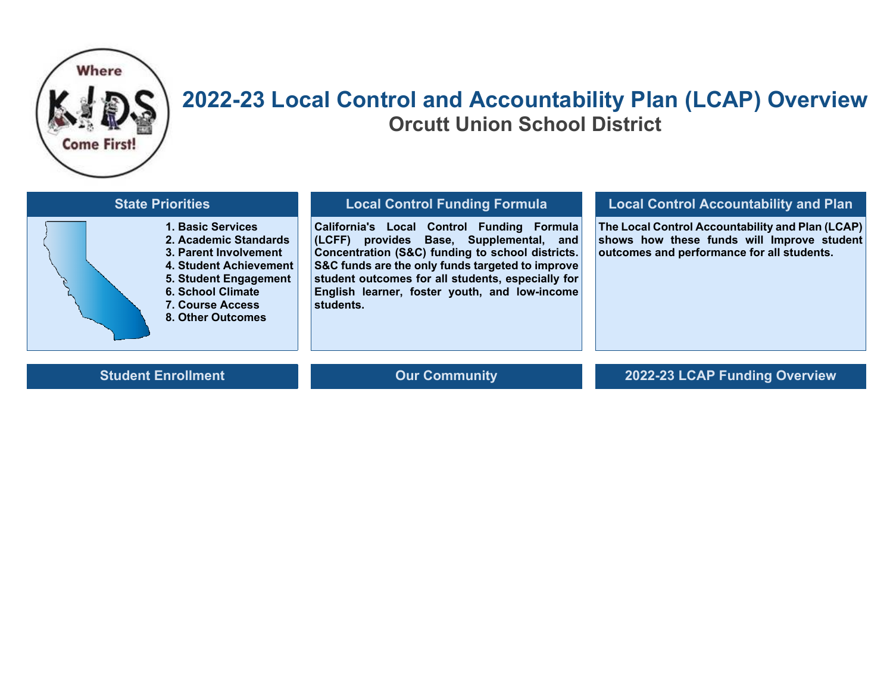

## **2022-23 Local Control and Accountability Plan (LCAP) Overview Orcutt Union School District**

| <b>State Priorities</b>                                                                                                                                                                            | <b>Local Control Funding Formula</b>                                                                                                                                                                                                                                                                             | <b>Local Control Accountability and Plan</b>                                                                                                 |  |
|----------------------------------------------------------------------------------------------------------------------------------------------------------------------------------------------------|------------------------------------------------------------------------------------------------------------------------------------------------------------------------------------------------------------------------------------------------------------------------------------------------------------------|----------------------------------------------------------------------------------------------------------------------------------------------|--|
| 1. Basic Services<br>2. Academic Standards<br>3. Parent Involvement<br>4. Student Achievement<br>5. Student Engagement<br><b>6. School Climate</b><br><b>7. Course Access</b><br>8. Other Outcomes | California's Local Control Funding Formula<br>(LCFF) provides Base, Supplemental, and<br>Concentration (S&C) funding to school districts.<br>S&C funds are the only funds targeted to improve<br>student outcomes for all students, especially for<br>English learner, foster youth, and low-income<br>students. | The Local Control Accountability and Plan (LCAP)<br>shows how these funds will Improve student<br>outcomes and performance for all students. |  |
| <b>Student Enrollment</b>                                                                                                                                                                          | <b>Our Community</b>                                                                                                                                                                                                                                                                                             | 2022-23 LCAP Funding Overview                                                                                                                |  |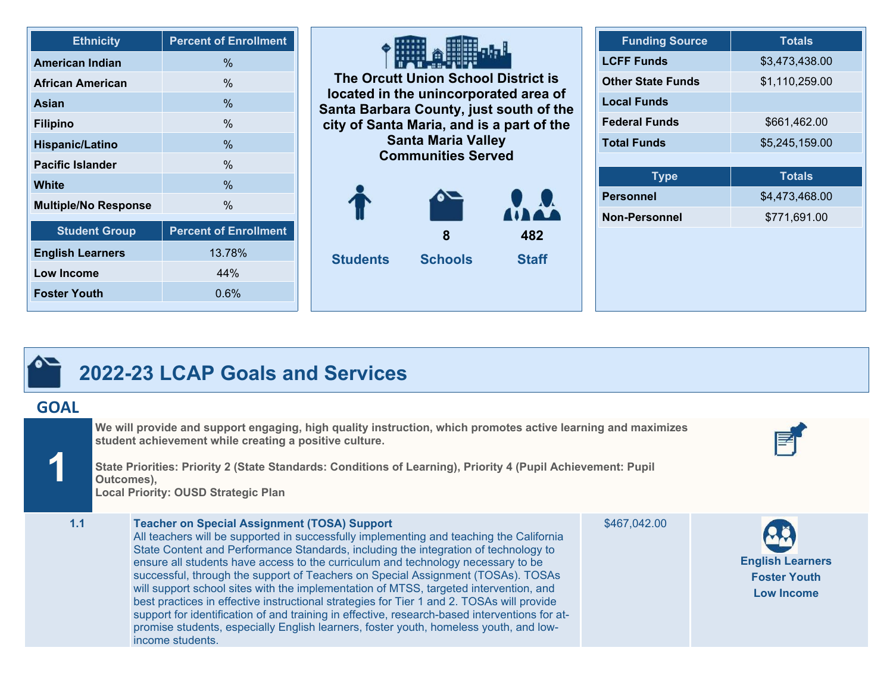| <b>Ethnicity</b>            | <b>Percent of Enrollment</b> |
|-----------------------------|------------------------------|
| <b>American Indian</b>      | $\frac{0}{6}$                |
| African American            | $\%$                         |
| <b>Asian</b>                | $\%$                         |
| <b>Filipino</b>             | $\%$                         |
| <b>Hispanic/Latino</b>      | %                            |
| <b>Pacific Islander</b>     | $\%$                         |
| White                       | %                            |
| <b>Multiple/No Response</b> | $\%$                         |
| <b>Student Group</b>        | <b>Percent of Enrollment</b> |
| <b>English Learners</b>     | 13.78%                       |
| <b>Low Income</b>           | 44%                          |
| <b>Foster Youth</b>         | $0.6\%$                      |

| The Orcutt Union School District is<br>located in the unincorporated area of<br>Santa Barbara County, just south of the<br>city of Santa Maria, and is a part of the<br><b>Santa Maria Valley</b><br><b>Communities Served</b> |                |              |  |  |
|--------------------------------------------------------------------------------------------------------------------------------------------------------------------------------------------------------------------------------|----------------|--------------|--|--|
|                                                                                                                                                                                                                                |                |              |  |  |
| 482<br>8                                                                                                                                                                                                                       |                |              |  |  |
| <b>Students</b>                                                                                                                                                                                                                | <b>Schools</b> | <b>Staff</b> |  |  |

| <b>Funding Source</b>    | <b>Totals</b>  |
|--------------------------|----------------|
| <b>LCFF Funds</b>        | \$3,473,438.00 |
| <b>Other State Funds</b> | \$1,110,259.00 |
| <b>Local Funds</b>       |                |
| <b>Federal Funds</b>     | \$661,462.00   |
| <b>Total Funds</b>       | \$5,245,159.00 |
|                          |                |
| <b>Type</b>              | <b>Totals</b>  |
| <b>Personnel</b>         | \$4,473,468.00 |
| <b>Non-Personnel</b>     | \$771,691.00   |
|                          |                |
|                          |                |
|                          |                |
|                          |                |

## **2022-23 LCAP Goals and Services**

## **GOAL**

**1**

**We will provide and support engaging, high quality instruction, which promotes active learning and maximizes student achievement while creating a positive culture.**

**State Priorities: Priority 2 (State Standards: Conditions of Learning), Priority 4 (Pupil Achievement: Pupil Outcomes), Local Priority: OUSD Strategic Plan**



**English Learners Foster Youth Low Income** 

**1.1 Teacher on Special Assignment (TOSA) Support** All teachers will be supported in successfully implementing and teaching the California State Content and Performance Standards, including the integration of technology to ensure all students have access to the curriculum and technology necessary to be successful, through the support of Teachers on Special Assignment (TOSAs). TOSAs will support school sites with the implementation of MTSS, targeted intervention, and best practices in effective instructional strategies for Tier 1 and 2. TOSAs will provide support for identification of and training in effective, research-based interventions for atpromise students, especially English learners, foster youth, homeless youth, and lowincome students.

\$467,042.00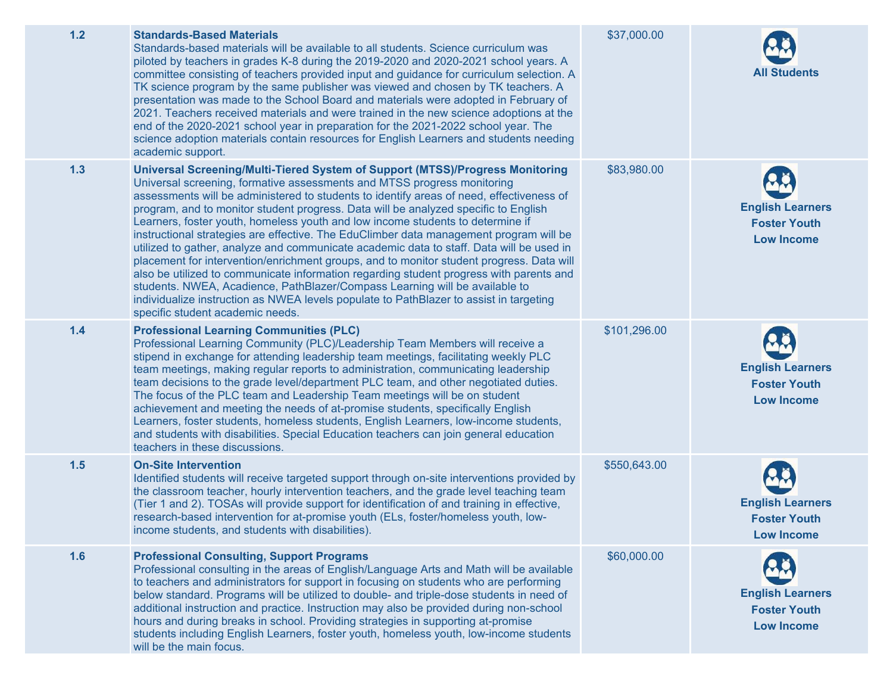| $1.2$ | <b>Standards-Based Materials</b><br>Standards-based materials will be available to all students. Science curriculum was<br>piloted by teachers in grades K-8 during the 2019-2020 and 2020-2021 school years. A<br>committee consisting of teachers provided input and guidance for curriculum selection. A<br>TK science program by the same publisher was viewed and chosen by TK teachers. A<br>presentation was made to the School Board and materials were adopted in February of<br>2021. Teachers received materials and were trained in the new science adoptions at the<br>end of the 2020-2021 school year in preparation for the 2021-2022 school year. The<br>science adoption materials contain resources for English Learners and students needing<br>academic support.                                                                                                                                                                                                                                   | \$37,000.00  | <b>All Students</b>                                                 |
|-------|-------------------------------------------------------------------------------------------------------------------------------------------------------------------------------------------------------------------------------------------------------------------------------------------------------------------------------------------------------------------------------------------------------------------------------------------------------------------------------------------------------------------------------------------------------------------------------------------------------------------------------------------------------------------------------------------------------------------------------------------------------------------------------------------------------------------------------------------------------------------------------------------------------------------------------------------------------------------------------------------------------------------------|--------------|---------------------------------------------------------------------|
| 1.3   | Universal Screening/Multi-Tiered System of Support (MTSS)/Progress Monitoring<br>Universal screening, formative assessments and MTSS progress monitoring<br>assessments will be administered to students to identify areas of need, effectiveness of<br>program, and to monitor student progress. Data will be analyzed specific to English<br>Learners, foster youth, homeless youth and low income students to determine if<br>instructional strategies are effective. The EduClimber data management program will be<br>utilized to gather, analyze and communicate academic data to staff. Data will be used in<br>placement for intervention/enrichment groups, and to monitor student progress. Data will<br>also be utilized to communicate information regarding student progress with parents and<br>students. NWEA, Acadience, PathBlazer/Compass Learning will be available to<br>individualize instruction as NWEA levels populate to PathBlazer to assist in targeting<br>specific student academic needs. | \$83,980.00  | <b>English Learners</b><br><b>Foster Youth</b><br><b>Low Income</b> |
| $1.4$ | <b>Professional Learning Communities (PLC)</b><br>Professional Learning Community (PLC)/Leadership Team Members will receive a<br>stipend in exchange for attending leadership team meetings, facilitating weekly PLC<br>team meetings, making regular reports to administration, communicating leadership<br>team decisions to the grade level/department PLC team, and other negotiated duties.<br>The focus of the PLC team and Leadership Team meetings will be on student<br>achievement and meeting the needs of at-promise students, specifically English<br>Learners, foster students, homeless students, English Learners, low-income students,<br>and students with disabilities. Special Education teachers can join general education<br>teachers in these discussions.                                                                                                                                                                                                                                     | \$101,296.00 | <b>English Learners</b><br><b>Foster Youth</b><br><b>Low Income</b> |
| 1.5   | <b>On-Site Intervention</b><br>Identified students will receive targeted support through on-site interventions provided by<br>the classroom teacher, hourly intervention teachers, and the grade level teaching team<br>(Tier 1 and 2). TOSAs will provide support for identification of and training in effective,<br>research-based intervention for at-promise youth (ELs, foster/homeless youth, low-<br>income students, and students with disabilities).                                                                                                                                                                                                                                                                                                                                                                                                                                                                                                                                                          | \$550,643.00 | <b>English Learners</b><br><b>Foster Youth</b><br><b>Low Income</b> |
| 1.6   | <b>Professional Consulting, Support Programs</b><br>Professional consulting in the areas of English/Language Arts and Math will be available<br>to teachers and administrators for support in focusing on students who are performing<br>below standard. Programs will be utilized to double- and triple-dose students in need of<br>additional instruction and practice. Instruction may also be provided during non-school<br>hours and during breaks in school. Providing strategies in supporting at-promise<br>students including English Learners, foster youth, homeless youth, low-income students<br>will be the main focus.                                                                                                                                                                                                                                                                                                                                                                                   | \$60,000.00  | <b>English Learners</b><br><b>Foster Youth</b><br><b>Low Income</b> |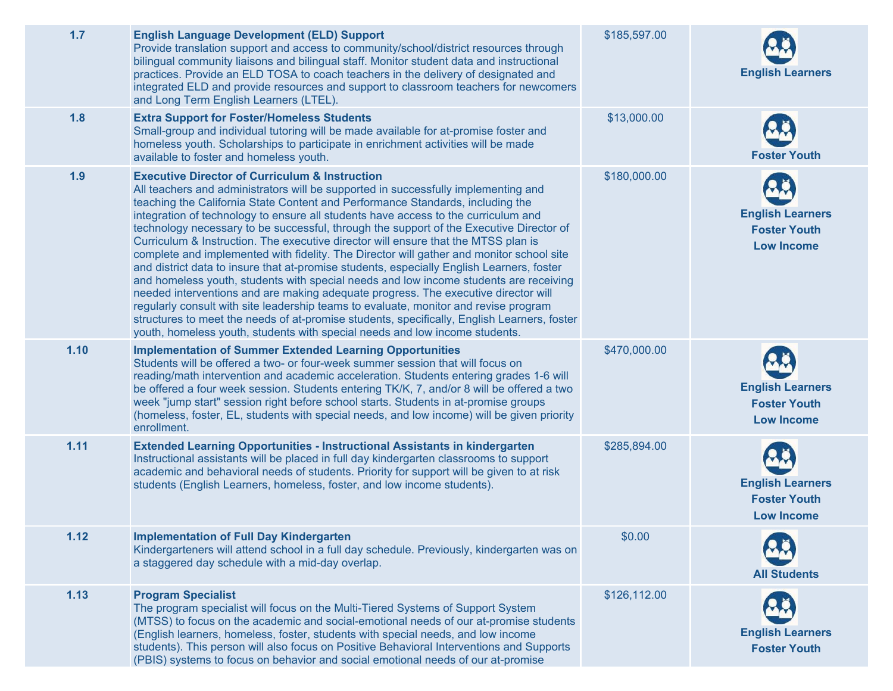| 1.7  | <b>English Language Development (ELD) Support</b><br>Provide translation support and access to community/school/district resources through<br>bilingual community liaisons and bilingual staff. Monitor student data and instructional<br>practices. Provide an ELD TOSA to coach teachers in the delivery of designated and<br>integrated ELD and provide resources and support to classroom teachers for newcomers<br>and Long Term English Learners (LTEL).                                                                                                                                                                                                                                                                                                                                                                                                                                                                                                                                                                                                                                                                                         | \$185,597.00 | <b>English Learners</b>                                             |
|------|--------------------------------------------------------------------------------------------------------------------------------------------------------------------------------------------------------------------------------------------------------------------------------------------------------------------------------------------------------------------------------------------------------------------------------------------------------------------------------------------------------------------------------------------------------------------------------------------------------------------------------------------------------------------------------------------------------------------------------------------------------------------------------------------------------------------------------------------------------------------------------------------------------------------------------------------------------------------------------------------------------------------------------------------------------------------------------------------------------------------------------------------------------|--------------|---------------------------------------------------------------------|
| 1.8  | <b>Extra Support for Foster/Homeless Students</b><br>Small-group and individual tutoring will be made available for at-promise foster and<br>homeless youth. Scholarships to participate in enrichment activities will be made<br>available to foster and homeless youth.                                                                                                                                                                                                                                                                                                                                                                                                                                                                                                                                                                                                                                                                                                                                                                                                                                                                              | \$13,000.00  | <b>Foster Youth</b>                                                 |
| 1.9  | <b>Executive Director of Curriculum &amp; Instruction</b><br>All teachers and administrators will be supported in successfully implementing and<br>teaching the California State Content and Performance Standards, including the<br>integration of technology to ensure all students have access to the curriculum and<br>technology necessary to be successful, through the support of the Executive Director of<br>Curriculum & Instruction. The executive director will ensure that the MTSS plan is<br>complete and implemented with fidelity. The Director will gather and monitor school site<br>and district data to insure that at-promise students, especially English Learners, foster<br>and homeless youth, students with special needs and low income students are receiving<br>needed interventions and are making adequate progress. The executive director will<br>regularly consult with site leadership teams to evaluate, monitor and revise program<br>structures to meet the needs of at-promise students, specifically, English Learners, foster<br>youth, homeless youth, students with special needs and low income students. | \$180,000.00 | <b>English Learners</b><br><b>Foster Youth</b><br><b>Low Income</b> |
| 1.10 | <b>Implementation of Summer Extended Learning Opportunities</b><br>Students will be offered a two- or four-week summer session that will focus on<br>reading/math intervention and academic acceleration. Students entering grades 1-6 will<br>be offered a four week session. Students entering TK/K, 7, and/or 8 will be offered a two<br>week "jump start" session right before school starts. Students in at-promise groups<br>(homeless, foster, EL, students with special needs, and low income) will be given priority<br>enrollment.                                                                                                                                                                                                                                                                                                                                                                                                                                                                                                                                                                                                           | \$470,000.00 | <b>English Learners</b><br><b>Foster Youth</b><br><b>Low Income</b> |
| 1.11 | <b>Extended Learning Opportunities - Instructional Assistants in kindergarten</b><br>Instructional assistants will be placed in full day kindergarten classrooms to support<br>academic and behavioral needs of students. Priority for support will be given to at risk<br>students (English Learners, homeless, foster, and low income students).                                                                                                                                                                                                                                                                                                                                                                                                                                                                                                                                                                                                                                                                                                                                                                                                     | \$285,894.00 | <b>English Learners</b><br><b>Foster Youth</b><br><b>Low Income</b> |
| 1.12 | <b>Implementation of Full Day Kindergarten</b><br>Kindergarteners will attend school in a full day schedule. Previously, kindergarten was on<br>a staggered day schedule with a mid-day overlap.                                                                                                                                                                                                                                                                                                                                                                                                                                                                                                                                                                                                                                                                                                                                                                                                                                                                                                                                                       | \$0.00       | <b>All Students</b>                                                 |
| 1.13 | <b>Program Specialist</b><br>The program specialist will focus on the Multi-Tiered Systems of Support System<br>(MTSS) to focus on the academic and social-emotional needs of our at-promise students<br>(English learners, homeless, foster, students with special needs, and low income<br>students). This person will also focus on Positive Behavioral Interventions and Supports<br>(PBIS) systems to focus on behavior and social emotional needs of our at-promise                                                                                                                                                                                                                                                                                                                                                                                                                                                                                                                                                                                                                                                                              | \$126,112.00 | <b>English Learners</b><br><b>Foster Youth</b>                      |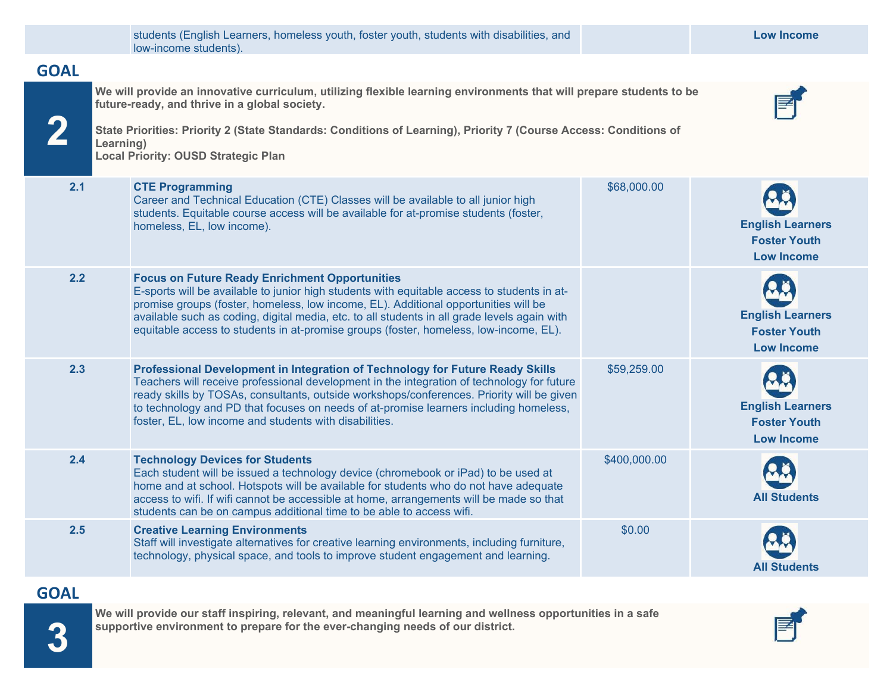|             | students (English Learners, homeless youth, foster youth, students with disabilities, and<br>low-income students).                                                                                                                                                                                                                                                                                                                   |              | <b>Low Income</b>                                                   |  |
|-------------|--------------------------------------------------------------------------------------------------------------------------------------------------------------------------------------------------------------------------------------------------------------------------------------------------------------------------------------------------------------------------------------------------------------------------------------|--------------|---------------------------------------------------------------------|--|
| <b>GOAL</b> |                                                                                                                                                                                                                                                                                                                                                                                                                                      |              |                                                                     |  |
|             | We will provide an innovative curriculum, utilizing flexible learning environments that will prepare students to be<br>future-ready, and thrive in a global society.<br>State Priorities: Priority 2 (State Standards: Conditions of Learning), Priority 7 (Course Access: Conditions of<br>Learning)<br><b>Local Priority: OUSD Strategic Plan</b>                                                                                  |              |                                                                     |  |
| 2.1         | <b>CTE Programming</b><br>Career and Technical Education (CTE) Classes will be available to all junior high<br>students. Equitable course access will be available for at-promise students (foster,<br>homeless, EL, low income).                                                                                                                                                                                                    | \$68,000.00  | <b>English Learners</b><br><b>Foster Youth</b><br><b>Low Income</b> |  |
| 2.2         | <b>Focus on Future Ready Enrichment Opportunities</b><br>E-sports will be available to junior high students with equitable access to students in at-<br>promise groups (foster, homeless, low income, EL). Additional opportunities will be<br>available such as coding, digital media, etc. to all students in all grade levels again with<br>equitable access to students in at-promise groups (foster, homeless, low-income, EL). |              | <b>English Learners</b><br><b>Foster Youth</b><br><b>Low Income</b> |  |
| 2.3         | Professional Development in Integration of Technology for Future Ready Skills<br>Teachers will receive professional development in the integration of technology for future<br>ready skills by TOSAs, consultants, outside workshops/conferences. Priority will be given<br>to technology and PD that focuses on needs of at-promise learners including homeless,<br>foster, EL, low income and students with disabilities.          | \$59,259.00  | <b>English Learners</b><br><b>Foster Youth</b><br><b>Low Income</b> |  |
| 2.4         | <b>Technology Devices for Students</b><br>Each student will be issued a technology device (chromebook or iPad) to be used at<br>home and at school. Hotspots will be available for students who do not have adequate<br>access to wifi. If wifi cannot be accessible at home, arrangements will be made so that<br>students can be on campus additional time to be able to access wifi.                                              | \$400,000.00 | <b>All Students</b>                                                 |  |
| 2.5         | <b>Creative Learning Environments</b><br>Staff will investigate alternatives for creative learning environments, including furniture,<br>technology, physical space, and tools to improve student engagement and learning.                                                                                                                                                                                                           | \$0.00       | <b>All Students</b>                                                 |  |
|             |                                                                                                                                                                                                                                                                                                                                                                                                                                      |              |                                                                     |  |

 **GOAL** 

**We will provide our staff inspiring, relevant, and meaningful learning and wellness opportunities in a safe supportive environment to prepare for the ever-changing needs of our district.**

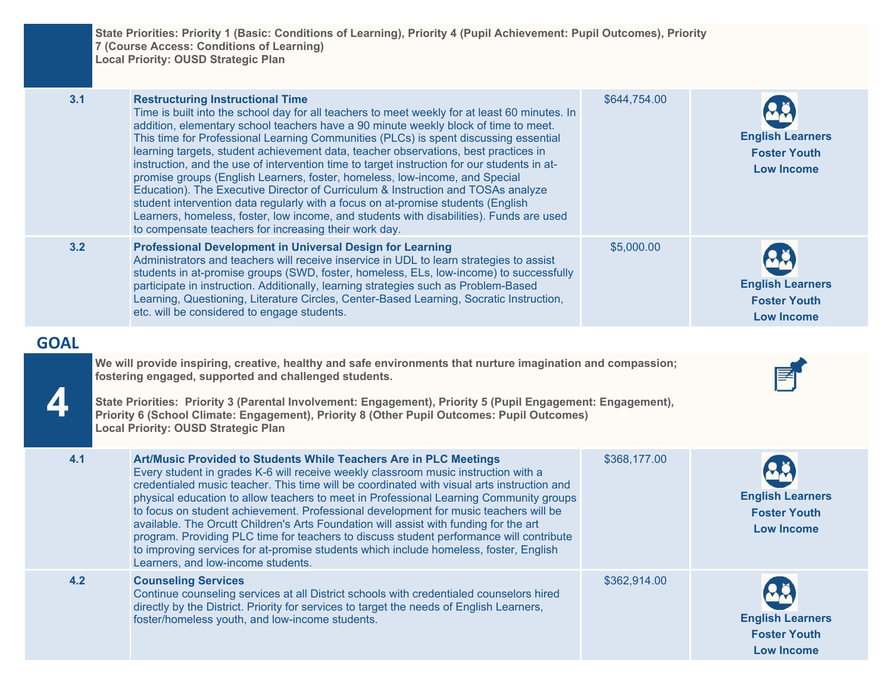**State Priorities: Priority 1 (Basic: Conditions of Learning), Priority 4 (Pupil Achievement: Pupil Outcomes), Priority 7 (Course Access: Conditions of Learning) Local Priority: OUSD Strategic Plan**

| 3.1<br><b>Restructuring Instructional Time</b><br>Time is built into the school day for all teachers to meet weekly for at least 60 minutes. In<br>addition, elementary school teachers have a 90 minute weekly block of time to meet.<br>This time for Professional Learning Communities (PLCs) is spent discussing essential<br>learning targets, student achievement data, teacher observations, best practices in<br>instruction, and the use of intervention time to target instruction for our students in at-<br>promise groups (English Learners, foster, homeless, low-income, and Special<br>Education). The Executive Director of Curriculum & Instruction and TOSAs analyze<br>student intervention data regularly with a focus on at-promise students (English<br>Learners, homeless, foster, low income, and students with disabilities). Funds are used<br>to compensate teachers for increasing their work day. |                                                                                                                                                                                                                                                                                                                                                                                                                                                                                                                                                                                                                                                                                                                                                            | \$644,754.00 | <b>English Learners</b><br><b>Foster Youth</b><br><b>Low Income</b> |  |
|---------------------------------------------------------------------------------------------------------------------------------------------------------------------------------------------------------------------------------------------------------------------------------------------------------------------------------------------------------------------------------------------------------------------------------------------------------------------------------------------------------------------------------------------------------------------------------------------------------------------------------------------------------------------------------------------------------------------------------------------------------------------------------------------------------------------------------------------------------------------------------------------------------------------------------|------------------------------------------------------------------------------------------------------------------------------------------------------------------------------------------------------------------------------------------------------------------------------------------------------------------------------------------------------------------------------------------------------------------------------------------------------------------------------------------------------------------------------------------------------------------------------------------------------------------------------------------------------------------------------------------------------------------------------------------------------------|--------------|---------------------------------------------------------------------|--|
| 3.2                                                                                                                                                                                                                                                                                                                                                                                                                                                                                                                                                                                                                                                                                                                                                                                                                                                                                                                             | <b>Professional Development in Universal Design for Learning</b><br>Administrators and teachers will receive inservice in UDL to learn strategies to assist<br>students in at-promise groups (SWD, foster, homeless, ELs, low-income) to successfully<br>participate in instruction. Additionally, learning strategies such as Problem-Based<br>Learning, Questioning, Literature Circles, Center-Based Learning, Socratic Instruction,<br>etc. will be considered to engage students.                                                                                                                                                                                                                                                                     | \$5,000.00   | <b>English Learners</b><br><b>Foster Youth</b><br><b>Low Income</b> |  |
| <b>GOAL</b>                                                                                                                                                                                                                                                                                                                                                                                                                                                                                                                                                                                                                                                                                                                                                                                                                                                                                                                     |                                                                                                                                                                                                                                                                                                                                                                                                                                                                                                                                                                                                                                                                                                                                                            |              |                                                                     |  |
|                                                                                                                                                                                                                                                                                                                                                                                                                                                                                                                                                                                                                                                                                                                                                                                                                                                                                                                                 | We will provide inspiring, creative, healthy and safe environments that nurture imagination and compassion;<br>fostering engaged, supported and challenged students.<br>State Priorities: Priority 3 (Parental Involvement: Engagement), Priority 5 (Pupil Engagement: Engagement),<br>Priority 6 (School Climate: Engagement), Priority 8 (Other Pupil Outcomes: Pupil Outcomes)<br><b>Local Priority: OUSD Strategic Plan</b>                                                                                                                                                                                                                                                                                                                            |              |                                                                     |  |
| 4.1                                                                                                                                                                                                                                                                                                                                                                                                                                                                                                                                                                                                                                                                                                                                                                                                                                                                                                                             | Art/Music Provided to Students While Teachers Are in PLC Meetings<br>Every student in grades K-6 will receive weekly classroom music instruction with a<br>credentialed music teacher. This time will be coordinated with visual arts instruction and<br>physical education to allow teachers to meet in Professional Learning Community groups<br>to focus on student achievement. Professional development for music teachers will be<br>available. The Orcutt Children's Arts Foundation will assist with funding for the art<br>program. Providing PLC time for teachers to discuss student performance will contribute<br>to improving services for at-promise students which include homeless, foster, English<br>Learners, and low-income students. | \$368,177.00 | <b>English Learners</b><br><b>Foster Youth</b><br><b>Low Income</b> |  |
| 4.2                                                                                                                                                                                                                                                                                                                                                                                                                                                                                                                                                                                                                                                                                                                                                                                                                                                                                                                             | <b>Counseling Services</b><br>Continue counseling services at all District schools with credentialed counselors hired<br>directly by the District. Priority for services to target the needs of English Learners,<br>foster/homeless youth, and low-income students.                                                                                                                                                                                                                                                                                                                                                                                                                                                                                       | \$362,914.00 | <b>English Learners</b><br><b>Foster Youth</b><br><b>Low Income</b> |  |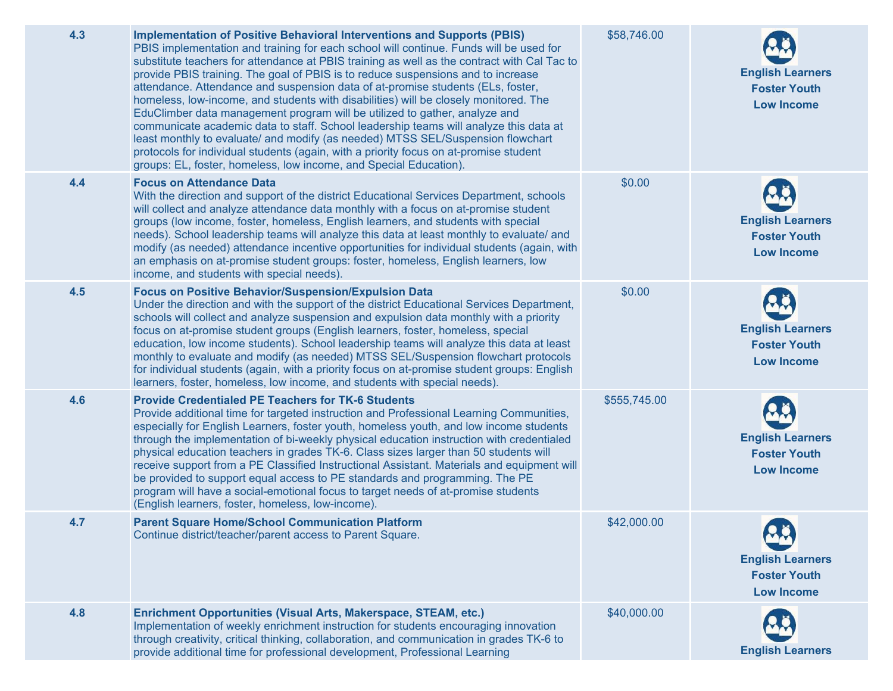| 4.3 | <b>Implementation of Positive Behavioral Interventions and Supports (PBIS)</b><br>PBIS implementation and training for each school will continue. Funds will be used for<br>substitute teachers for attendance at PBIS training as well as the contract with Cal Tac to<br>provide PBIS training. The goal of PBIS is to reduce suspensions and to increase<br>attendance. Attendance and suspension data of at-promise students (ELs, foster,<br>homeless, low-income, and students with disabilities) will be closely monitored. The<br>EduClimber data management program will be utilized to gather, analyze and<br>communicate academic data to staff. School leadership teams will analyze this data at<br>least monthly to evaluate/ and modify (as needed) MTSS SEL/Suspension flowchart<br>protocols for individual students (again, with a priority focus on at-promise student<br>groups: EL, foster, homeless, low income, and Special Education). | \$58,746.00  | <b>English Learners</b><br><b>Foster Youth</b><br><b>Low Income</b> |
|-----|----------------------------------------------------------------------------------------------------------------------------------------------------------------------------------------------------------------------------------------------------------------------------------------------------------------------------------------------------------------------------------------------------------------------------------------------------------------------------------------------------------------------------------------------------------------------------------------------------------------------------------------------------------------------------------------------------------------------------------------------------------------------------------------------------------------------------------------------------------------------------------------------------------------------------------------------------------------|--------------|---------------------------------------------------------------------|
| 4.4 | <b>Focus on Attendance Data</b><br>With the direction and support of the district Educational Services Department, schools<br>will collect and analyze attendance data monthly with a focus on at-promise student<br>groups (low income, foster, homeless, English learners, and students with special<br>needs). School leadership teams will analyze this data at least monthly to evaluate/ and<br>modify (as needed) attendance incentive opportunities for individual students (again, with<br>an emphasis on at-promise student groups: foster, homeless, English learners, low<br>income, and students with special needs).                                                                                                                                                                                                                                                                                                                             | \$0.00       | <b>English Learners</b><br><b>Foster Youth</b><br><b>Low Income</b> |
| 4.5 | Focus on Positive Behavior/Suspension/Expulsion Data<br>Under the direction and with the support of the district Educational Services Department,<br>schools will collect and analyze suspension and expulsion data monthly with a priority<br>focus on at-promise student groups (English learners, foster, homeless, special<br>education, low income students). School leadership teams will analyze this data at least<br>monthly to evaluate and modify (as needed) MTSS SEL/Suspension flowchart protocols<br>for individual students (again, with a priority focus on at-promise student groups: English<br>learners, foster, homeless, low income, and students with special needs).                                                                                                                                                                                                                                                                   | \$0.00       | <b>English Learners</b><br><b>Foster Youth</b><br><b>Low Income</b> |
| 4.6 | <b>Provide Credentialed PE Teachers for TK-6 Students</b><br>Provide additional time for targeted instruction and Professional Learning Communities,<br>especially for English Learners, foster youth, homeless youth, and low income students<br>through the implementation of bi-weekly physical education instruction with credentialed<br>physical education teachers in grades TK-6. Class sizes larger than 50 students will<br>receive support from a PE Classified Instructional Assistant. Materials and equipment will<br>be provided to support equal access to PE standards and programming. The PE<br>program will have a social-emotional focus to target needs of at-promise students<br>(English learners, foster, homeless, low-income).                                                                                                                                                                                                      | \$555,745.00 | <b>English Learners</b><br><b>Foster Youth</b><br><b>Low Income</b> |
| 4.7 | <b>Parent Square Home/School Communication Platform</b><br>Continue district/teacher/parent access to Parent Square.                                                                                                                                                                                                                                                                                                                                                                                                                                                                                                                                                                                                                                                                                                                                                                                                                                           | \$42,000.00  | <b>English Learners</b><br><b>Foster Youth</b><br><b>Low Income</b> |
| 4.8 | Enrichment Opportunities (Visual Arts, Makerspace, STEAM, etc.)<br>Implementation of weekly enrichment instruction for students encouraging innovation<br>through creativity, critical thinking, collaboration, and communication in grades TK-6 to<br>provide additional time for professional development, Professional Learning                                                                                                                                                                                                                                                                                                                                                                                                                                                                                                                                                                                                                             | \$40,000.00  | <b>English Learners</b>                                             |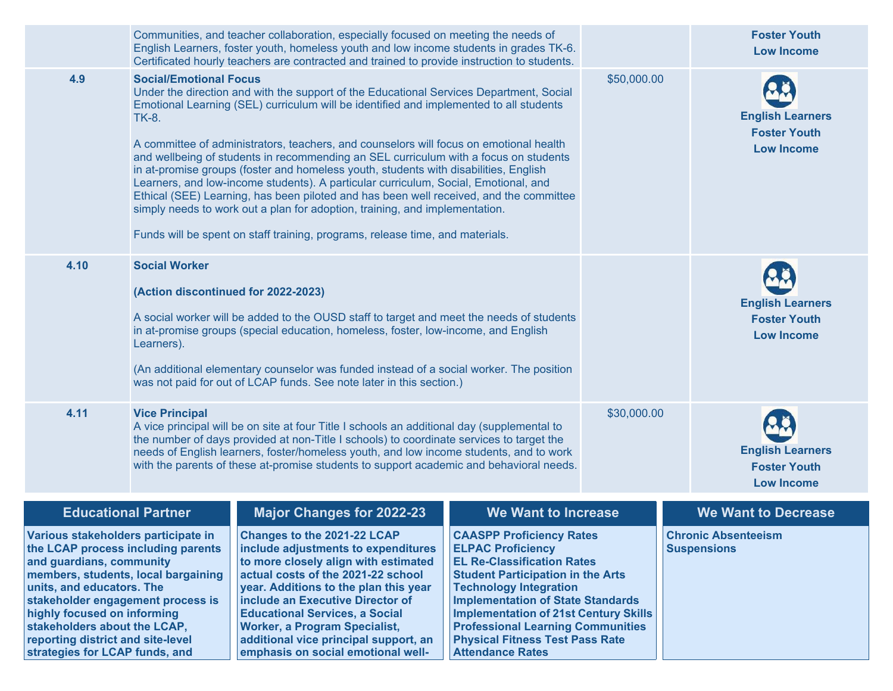|                                                                                                                                                                                                                                                                                                                                                      |                                               | Communities, and teacher collaboration, especially focused on meeting the needs of<br>English Learners, foster youth, homeless youth and low income students in grades TK-6.<br>Certificated hourly teachers are contracted and trained to provide instruction to students.                                                                                                                                                                                                                                                                                                                                                                                                                                                                                                                                  |                                                                                                                                                                                                                                                                                                                                                                                            |             | <b>Foster Youth</b><br><b>Low Income</b>                            |
|------------------------------------------------------------------------------------------------------------------------------------------------------------------------------------------------------------------------------------------------------------------------------------------------------------------------------------------------------|-----------------------------------------------|--------------------------------------------------------------------------------------------------------------------------------------------------------------------------------------------------------------------------------------------------------------------------------------------------------------------------------------------------------------------------------------------------------------------------------------------------------------------------------------------------------------------------------------------------------------------------------------------------------------------------------------------------------------------------------------------------------------------------------------------------------------------------------------------------------------|--------------------------------------------------------------------------------------------------------------------------------------------------------------------------------------------------------------------------------------------------------------------------------------------------------------------------------------------------------------------------------------------|-------------|---------------------------------------------------------------------|
| 4.9                                                                                                                                                                                                                                                                                                                                                  | <b>Social/Emotional Focus</b><br><b>TK-8.</b> | Under the direction and with the support of the Educational Services Department, Social<br>Emotional Learning (SEL) curriculum will be identified and implemented to all students<br>A committee of administrators, teachers, and counselors will focus on emotional health<br>and wellbeing of students in recommending an SEL curriculum with a focus on students<br>in at-promise groups (foster and homeless youth, students with disabilities, English<br>Learners, and low-income students). A particular curriculum, Social, Emotional, and<br>Ethical (SEE) Learning, has been piloted and has been well received, and the committee<br>simply needs to work out a plan for adoption, training, and implementation.<br>Funds will be spent on staff training, programs, release time, and materials. |                                                                                                                                                                                                                                                                                                                                                                                            | \$50,000.00 | <b>English Learners</b><br><b>Foster Youth</b><br><b>Low Income</b> |
| 4.10                                                                                                                                                                                                                                                                                                                                                 | <b>Social Worker</b><br>Learners).            | (Action discontinued for 2022-2023)<br>A social worker will be added to the OUSD staff to target and meet the needs of students<br>in at-promise groups (special education, homeless, foster, low-income, and English<br>(An additional elementary counselor was funded instead of a social worker. The position<br>was not paid for out of LCAP funds. See note later in this section.)                                                                                                                                                                                                                                                                                                                                                                                                                     |                                                                                                                                                                                                                                                                                                                                                                                            |             | <b>English Learners</b><br><b>Foster Youth</b><br><b>Low Income</b> |
| 4.11                                                                                                                                                                                                                                                                                                                                                 | <b>Vice Principal</b>                         | A vice principal will be on site at four Title I schools an additional day (supplemental to<br>the number of days provided at non-Title I schools) to coordinate services to target the<br>needs of English learners, foster/homeless youth, and low income students, and to work<br>with the parents of these at-promise students to support academic and behavioral needs.                                                                                                                                                                                                                                                                                                                                                                                                                                 |                                                                                                                                                                                                                                                                                                                                                                                            | \$30,000.00 | <b>English Learners</b><br><b>Foster Youth</b><br><b>Low Income</b> |
| <b>Educational Partner</b>                                                                                                                                                                                                                                                                                                                           |                                               | <b>Major Changes for 2022-23</b>                                                                                                                                                                                                                                                                                                                                                                                                                                                                                                                                                                                                                                                                                                                                                                             | <b>We Want to Increase</b>                                                                                                                                                                                                                                                                                                                                                                 |             | <b>We Want to Decrease</b>                                          |
| Various stakeholders participate in<br>the LCAP process including parents<br>and guardians, community<br>members, students, local bargaining<br>units, and educators. The<br>stakeholder engagement process is<br>highly focused on informing<br>stakeholders about the LCAP,<br>reporting district and site-level<br>strategies for LCAP funds, and |                                               | Changes to the 2021-22 LCAP<br>include adjustments to expenditures<br>to more closely align with estimated<br>actual costs of the 2021-22 school<br>year. Additions to the plan this year<br>include an Executive Director of<br><b>Educational Services, a Social</b><br><b>Worker, a Program Specialist,</b><br>additional vice principal support, an<br>emphasis on social emotional well-                                                                                                                                                                                                                                                                                                                                                                                                                | <b>CAASPP Proficiency Rates</b><br><b>ELPAC Proficiency</b><br><b>EL Re-Classification Rates</b><br><b>Student Participation in the Arts</b><br><b>Technology Integration</b><br><b>Implementation of State Standards</b><br><b>Implementation of 21st Century Skills</b><br><b>Professional Learning Communities</b><br><b>Physical Fitness Test Pass Rate</b><br><b>Attendance Rates</b> |             | <b>Chronic Absenteeism</b><br><b>Suspensions</b>                    |